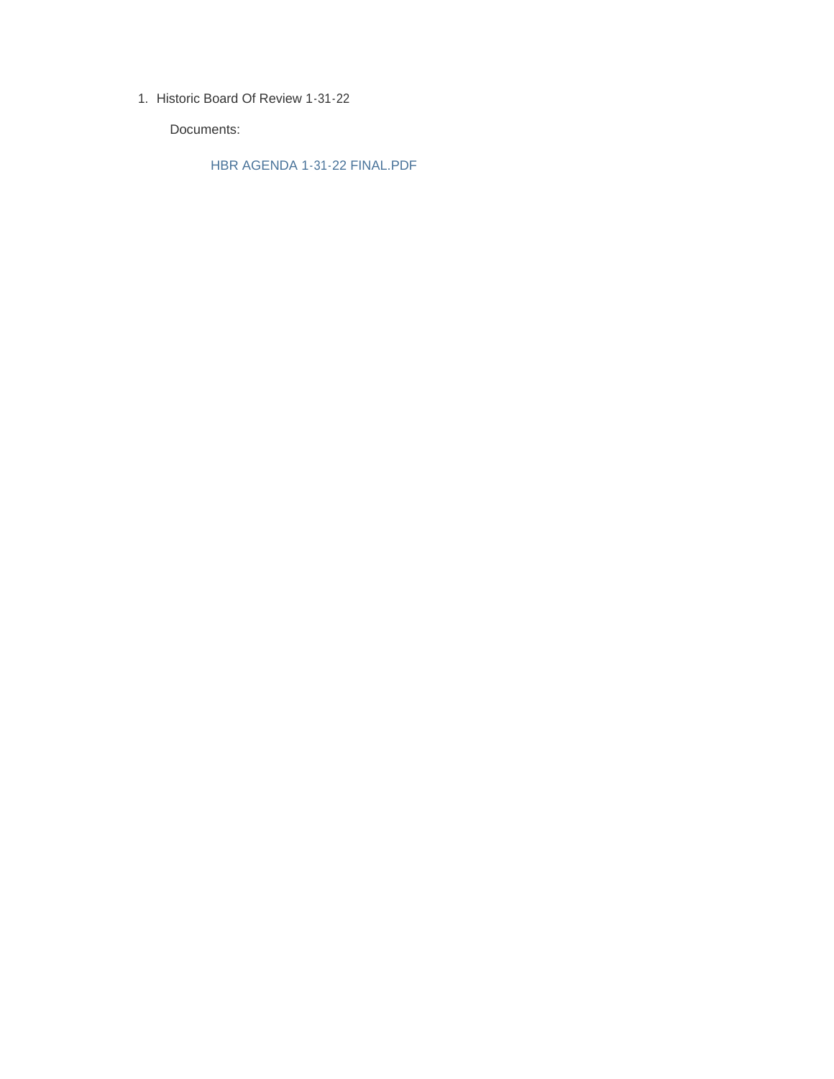1. Historic Board Of Review 1-31-22

Documents:

HBR AGENDA 1-31-22 FINAL.PDF